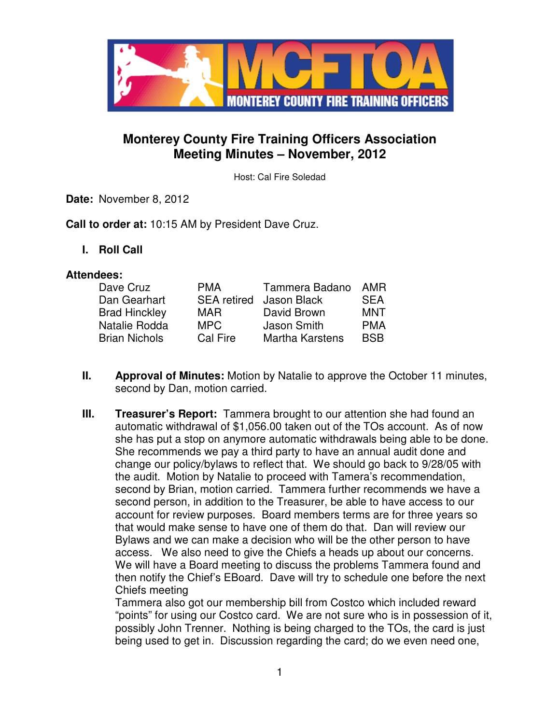

# **Monterey County Fire Training Officers Association Meeting Minutes – November, 2012**

Host: Cal Fire Soledad

**Date:** November 8, 2012

**Call to order at:** 10:15 AM by President Dave Cruz.

**I. Roll Call** 

#### **Attendees:**

| Dave Cruz            | <b>PMA</b> | Tammera Badano                 | AMR        |
|----------------------|------------|--------------------------------|------------|
| Dan Gearhart         |            | <b>SEA retired</b> Jason Black | <b>SEA</b> |
| <b>Brad Hinckley</b> | <b>MAR</b> | David Brown                    | MNT        |
| Natalie Rodda        | MPC.       | Jason Smith                    | <b>PMA</b> |
| <b>Brian Nichols</b> | Cal Fire   | <b>Martha Karstens</b>         | <b>BSB</b> |

- **II. Approval of Minutes:** Motion by Natalie to approve the October 11 minutes, second by Dan, motion carried.
- **III.** Treasurer's Report: Tammera brought to our attention she had found an automatic withdrawal of \$1,056.00 taken out of the TOs account. As of now she has put a stop on anymore automatic withdrawals being able to be done. She recommends we pay a third party to have an annual audit done and change our policy/bylaws to reflect that. We should go back to 9/28/05 with the audit. Motion by Natalie to proceed with Tamera's recommendation, second by Brian, motion carried. Tammera further recommends we have a second person, in addition to the Treasurer, be able to have access to our account for review purposes. Board members terms are for three years so that would make sense to have one of them do that. Dan will review our Bylaws and we can make a decision who will be the other person to have access. We also need to give the Chiefs a heads up about our concerns. We will have a Board meeting to discuss the problems Tammera found and then notify the Chief's EBoard. Dave will try to schedule one before the next Chiefs meeting

Tammera also got our membership bill from Costco which included reward "points" for using our Costco card. We are not sure who is in possession of it, possibly John Trenner. Nothing is being charged to the TOs, the card is just being used to get in. Discussion regarding the card; do we even need one,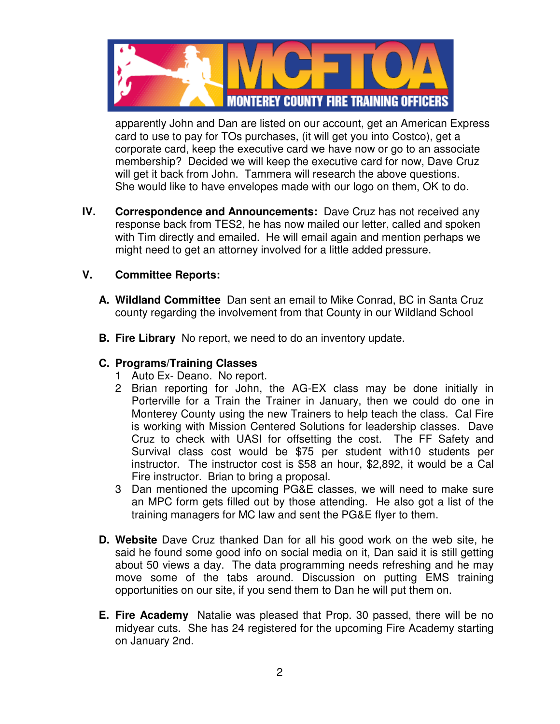

apparently John and Dan are listed on our account, get an American Express card to use to pay for TOs purchases, (it will get you into Costco), get a corporate card, keep the executive card we have now or go to an associate membership? Decided we will keep the executive card for now, Dave Cruz will get it back from John. Tammera will research the above questions. She would like to have envelopes made with our logo on them, OK to do.

**IV. Correspondence and Announcements:** Dave Cruz has not received any response back from TES2, he has now mailed our letter, called and spoken with Tim directly and emailed. He will email again and mention perhaps we might need to get an attorney involved for a little added pressure.

### **V. Committee Reports:**

- **A. Wildland Committee** Dan sent an email to Mike Conrad, BC in Santa Cruz county regarding the involvement from that County in our Wildland School
- **B. Fire Library** No report, we need to do an inventory update.

### **C. Programs/Training Classes**

- 1 Auto Ex- Deano. No report.
- 2 Brian reporting for John, the AG-EX class may be done initially in Porterville for a Train the Trainer in January, then we could do one in Monterey County using the new Trainers to help teach the class. Cal Fire is working with Mission Centered Solutions for leadership classes. Dave Cruz to check with UASI for offsetting the cost. The FF Safety and Survival class cost would be \$75 per student with10 students per instructor. The instructor cost is \$58 an hour, \$2,892, it would be a Cal Fire instructor. Brian to bring a proposal.
- 3 Dan mentioned the upcoming PG&E classes, we will need to make sure an MPC form gets filled out by those attending. He also got a list of the training managers for MC law and sent the PG&E flyer to them.
- **D. Website** Dave Cruz thanked Dan for all his good work on the web site, he said he found some good info on social media on it, Dan said it is still getting about 50 views a day. The data programming needs refreshing and he may move some of the tabs around. Discussion on putting EMS training opportunities on our site, if you send them to Dan he will put them on.
- **E. Fire Academy** Natalie was pleased that Prop. 30 passed, there will be no midyear cuts. She has 24 registered for the upcoming Fire Academy starting on January 2nd.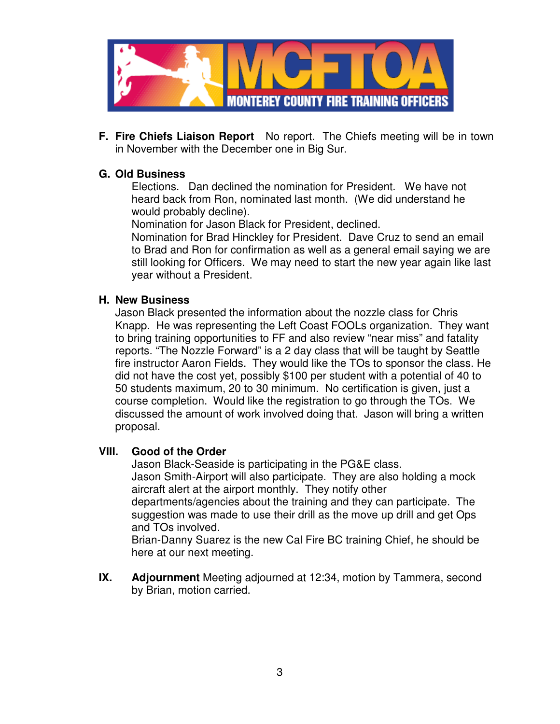

**F. Fire Chiefs Liaison Report** No report. The Chiefs meeting will be in town in November with the December one in Big Sur.

#### **G. Old Business**

Elections. Dan declined the nomination for President. We have not heard back from Ron, nominated last month. (We did understand he would probably decline).

Nomination for Jason Black for President, declined.

Nomination for Brad Hinckley for President. Dave Cruz to send an email to Brad and Ron for confirmation as well as a general email saying we are still looking for Officers. We may need to start the new year again like last year without a President.

#### **H. New Business**

Jason Black presented the information about the nozzle class for Chris Knapp. He was representing the Left Coast FOOLs organization. They want to bring training opportunities to FF and also review "near miss" and fatality reports. "The Nozzle Forward" is a 2 day class that will be taught by Seattle fire instructor Aaron Fields. They would like the TOs to sponsor the class. He did not have the cost yet, possibly \$100 per student with a potential of 40 to 50 students maximum, 20 to 30 minimum. No certification is given, just a course completion. Would like the registration to go through the TOs. We discussed the amount of work involved doing that. Jason will bring a written proposal.

#### **VIII. Good of the Order**

Jason Black-Seaside is participating in the PG&E class. Jason Smith-Airport will also participate. They are also holding a mock aircraft alert at the airport monthly. They notify other departments/agencies about the training and they can participate. The suggestion was made to use their drill as the move up drill and get Ops and TOs involved.

Brian-Danny Suarez is the new Cal Fire BC training Chief, he should be here at our next meeting.

**IX. Adjournment** Meeting adjourned at 12:34, motion by Tammera, second by Brian, motion carried.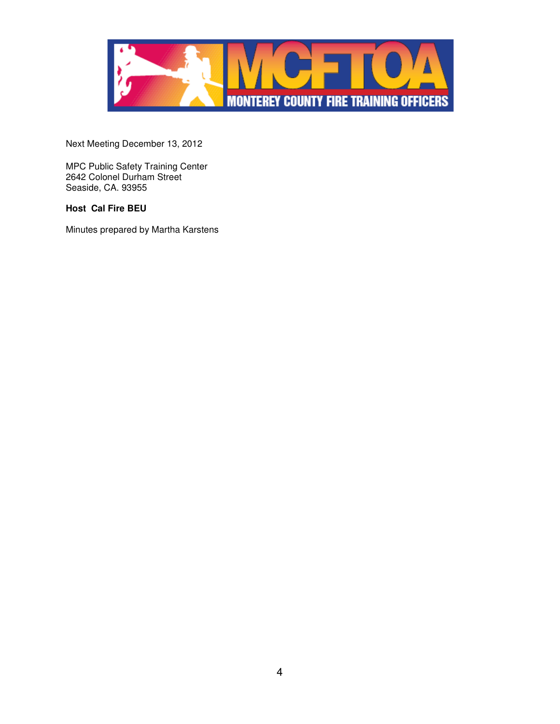

Next Meeting December 13, 2012

MPC Public Safety Training Center 2642 Colonel Durham Street Seaside, CA. 93955

#### **Host Cal Fire BEU**

Minutes prepared by Martha Karstens